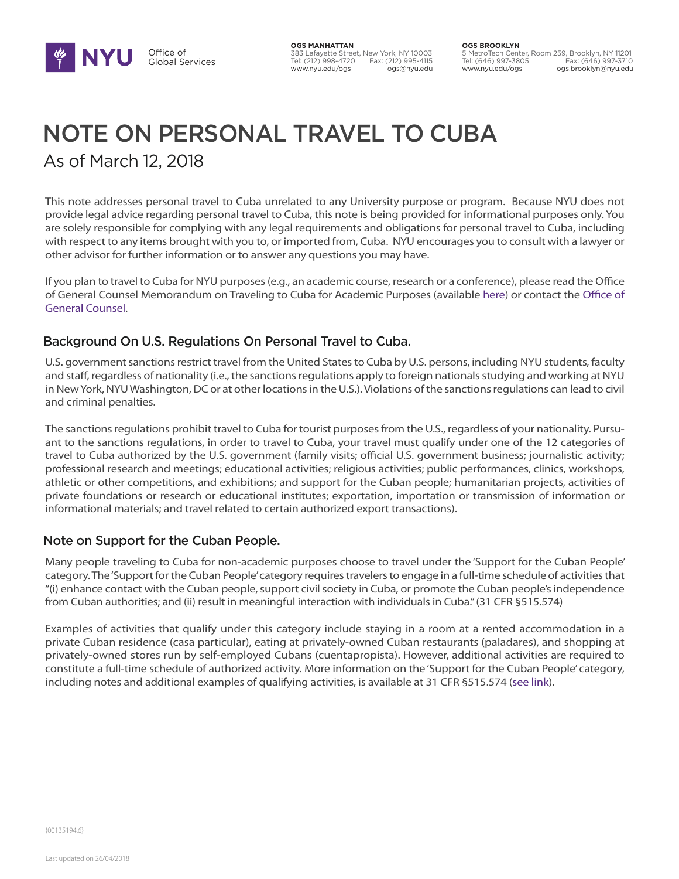

**OGS MANHATTAN** 383 Lafayette Street, New York, NY 10003 Tel: (212) 998-4720 Fax: (212) 995-4115 www.nyu.edu/ogs

**OGS BROOKLYN** 5 MetroTech Center, Room 259, Brooklyn, NY 11201 Tel: (646) 997-3805 Fax: (646) 997-3710 www.nyu.edu/ogs ogs.brooklyn@nyu.edu

# NOTE ON PERSONAL TRAVEL TO CUBA As of March 12, 2018

This note addresses personal travel to Cuba unrelated to any University purpose or program. Because NYU does not provide legal advice regarding personal travel to Cuba, this note is being provided for informational purposes only. You are solely responsible for complying with any legal requirements and obligations for personal travel to Cuba, including with respect to any items brought with you to, or imported from, Cuba. NYU encourages you to consult with a lawyer or other advisor for further information or to answer any questions you may have.

If you plan to travel to Cuba for NYU purposes (e.g., an academic course, research or a conference), please read the Office of General Counsel Memorandum on Traveling to Cuba for Academic Purposes (available here) or contact the Office of General Counsel.

## Background On U.S. Regulations On Personal Travel to Cuba.

U.S. government sanctions restrict travel from the United States to Cuba by U.S. persons, including NYU students, faculty and staff, regardless of nationality (i.e., the sanctions regulations apply to foreign nationals studying and working at NYU in New York, NYU Washington, DC or at other locations in the U.S.). Violations of the sanctions regulations can lead to civil and criminal penalties.

The sanctions regulations prohibit travel to Cuba for tourist purposes from the U.S., regardless of your nationality. Pursuant to the sanctions regulations, in order to travel to Cuba, your travel must qualify under one of the 12 categories of travel to Cuba authorized by the U.S. government (family visits; official U.S. government business; journalistic activity; professional research and meetings; educational activities; religious activities; public performances, clinics, workshops, athletic or other competitions, and exhibitions; and support for the Cuban people; humanitarian projects, activities of private foundations or research or educational institutes; exportation, importation or transmission of information or informational materials; and travel related to certain authorized export transactions).

## Note on Support for the Cuban People.

Many people traveling to Cuba for non-academic purposes choose to travel under the 'Support for the Cuban People' category. The 'Support for the Cuban People' category requires travelers to engage in a full-time schedule of activities that "(i) enhance contact with the Cuban people, support civil society in Cuba, or promote the Cuban people's independence from Cuban authorities; and (ii) result in meaningful interaction with individuals in Cuba." (31 CFR §515.574)

Examples of activities that qualify under this category include staying in a room at a rented accommodation in a private Cuban residence (casa particular), eating at privately-owned Cuban restaurants (paladares), and shopping at privately-owned stores run by self-employed Cubans (cuentapropista). However, additional activities are required to constitute a full-time schedule of authorized activity. More information on the 'Support for the Cuban People' category, including notes and additional examples of qualifying activities, is available at 31 CFR §515.574 (see link).